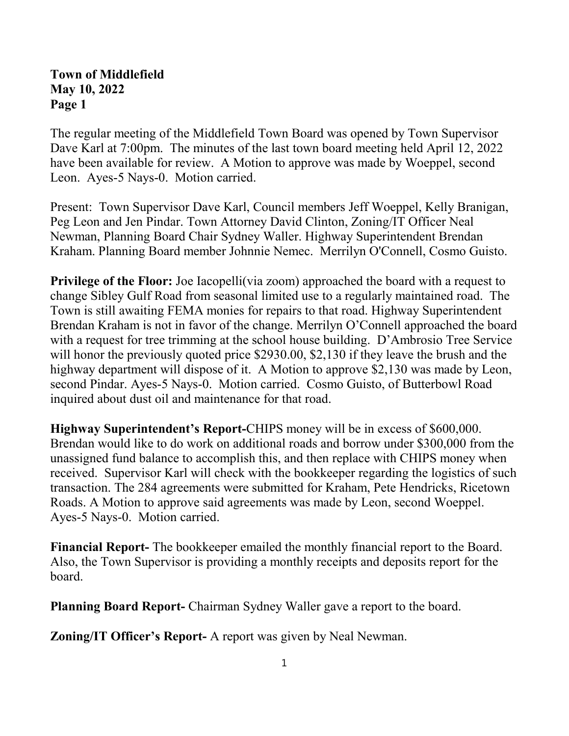## **Town of Middlefield May 10, 2022 Page 1**

The regular meeting of the Middlefield Town Board was opened by Town Supervisor Dave Karl at 7:00pm. The minutes of the last town board meeting held April 12, 2022 have been available for review. A Motion to approve was made by Woeppel, second Leon. Ayes-5 Nays-0. Motion carried.

Present: Town Supervisor Dave Karl, Council members Jeff Woeppel, Kelly Branigan, Peg Leon and Jen Pindar. Town Attorney David Clinton, Zoning/IT Officer Neal Newman, Planning Board Chair Sydney Waller. Highway Superintendent Brendan Kraham. Planning Board member Johnnie Nemec. Merrilyn O'Connell, Cosmo Guisto.

**Privilege of the Floor:** Joe Iacopelli(via zoom) approached the board with a request to change Sibley Gulf Road from seasonal limited use to a regularly maintained road. The Town is still awaiting FEMA monies for repairs to that road. Highway Superintendent Brendan Kraham is not in favor of the change. Merrilyn O'Connell approached the board with a request for tree trimming at the school house building. D'Ambrosio Tree Service will honor the previously quoted price \$2930.00, \$2,130 if they leave the brush and the highway department will dispose of it. A Motion to approve \$2,130 was made by Leon, second Pindar. Ayes-5 Nays-0. Motion carried. Cosmo Guisto, of Butterbowl Road inquired about dust oil and maintenance for that road.

**Highway Superintendent's Report-**CHIPS money will be in excess of \$600,000. Brendan would like to do work on additional roads and borrow under \$300,000 from the unassigned fund balance to accomplish this, and then replace with CHIPS money when received. Supervisor Karl will check with the bookkeeper regarding the logistics of such transaction. The 284 agreements were submitted for Kraham, Pete Hendricks, Ricetown Roads. A Motion to approve said agreements was made by Leon, second Woeppel. Ayes-5 Nays-0. Motion carried.

**Financial Report-** The bookkeeper emailed the monthly financial report to the Board. Also, the Town Supervisor is providing a monthly receipts and deposits report for the board.

**Planning Board Report-** Chairman Sydney Waller gave a report to the board.

**Zoning/IT Officer's Report-** A report was given by Neal Newman.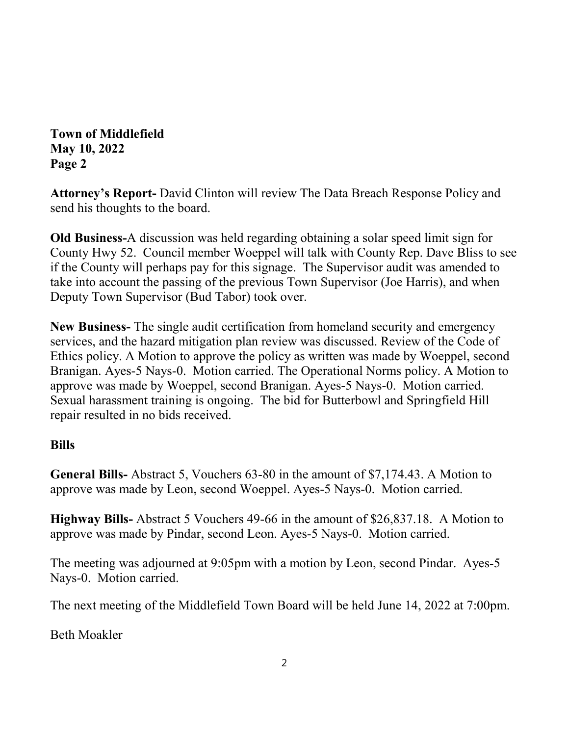**Town of Middlefield May 10, 2022 Page 2**

**Attorney's Report-** David Clinton will review The Data Breach Response Policy and send his thoughts to the board.

**Old Business-**A discussion was held regarding obtaining a solar speed limit sign for County Hwy 52. Council member Woeppel will talk with County Rep. Dave Bliss to see if the County will perhaps pay for this signage. The Supervisor audit was amended to take into account the passing of the previous Town Supervisor (Joe Harris), and when Deputy Town Supervisor (Bud Tabor) took over.

**New Business-** The single audit certification from homeland security and emergency services, and the hazard mitigation plan review was discussed. Review of the Code of Ethics policy. A Motion to approve the policy as written was made by Woeppel, second Branigan. Ayes-5 Nays-0. Motion carried. The Operational Norms policy. A Motion to approve was made by Woeppel, second Branigan. Ayes-5 Nays-0. Motion carried. Sexual harassment training is ongoing. The bid for Butterbowl and Springfield Hill repair resulted in no bids received.

## **Bills**

**General Bills-** Abstract 5, Vouchers 63-80 in the amount of \$7,174.43. A Motion to approve was made by Leon, second Woeppel. Ayes-5 Nays-0. Motion carried.

**Highway Bills-** Abstract 5 Vouchers 49-66 in the amount of \$26,837.18. A Motion to approve was made by Pindar, second Leon. Ayes-5 Nays-0. Motion carried.

The meeting was adjourned at 9:05pm with a motion by Leon, second Pindar. Ayes-5 Nays-0. Motion carried.

The next meeting of the Middlefield Town Board will be held June 14, 2022 at 7:00pm.

Beth Moakler